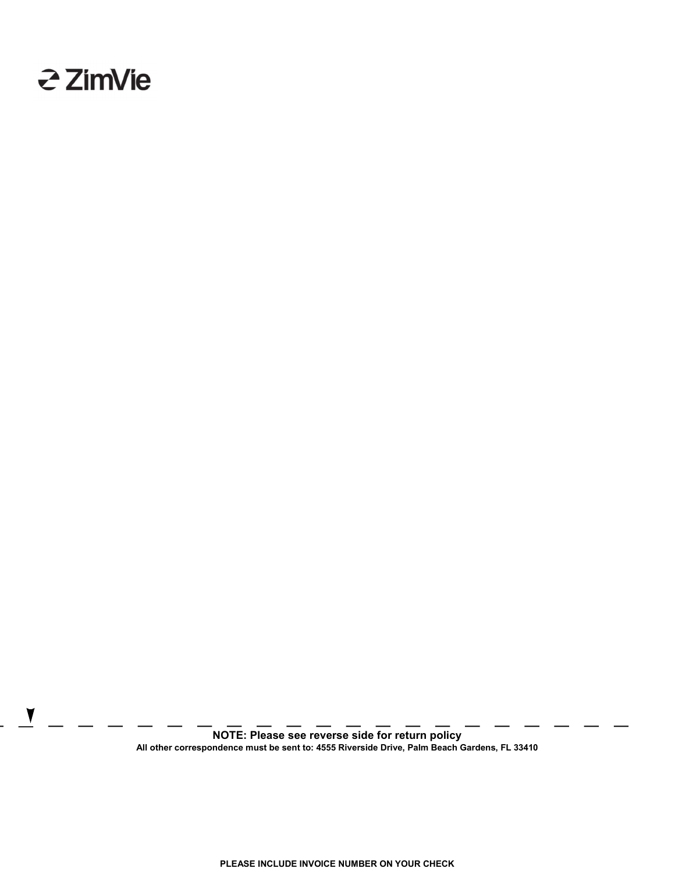

NOTE: Please see reverse side for return policy All other correspondence must be sent to: 4555 Riverside Drive, Palm Beach Gardens, FL 33410